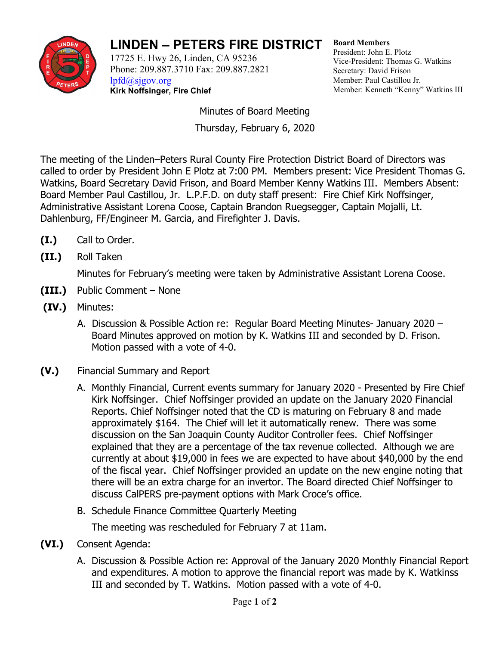

## **LINDEN – PETERS FIRE DISTRICT**

17725 E. Hwy 26, Linden, CA 95236 Phone: 209.887.3710 Fax: 209.887.2821 [lpfd@sjgov.org](mailto:lpfd@sjgov.org) **Kirk Noffsinger, Fire Chief**

**Board Members** President: John E. Plotz Vice-President: Thomas G. Watkins Secretary: David Frison Member: Paul Castillou Jr. Member: Kenneth "Kenny" Watkins III

Minutes of Board Meeting Thursday, February 6, 2020

The meeting of the Linden–Peters Rural County Fire Protection District Board of Directors was called to order by President John E Plotz at 7:00 PM. Members present: Vice President Thomas G. Watkins, Board Secretary David Frison, and Board Member Kenny Watkins III. Members Absent: Board Member Paul Castillou, Jr. L.P.F.D. on duty staff present: Fire Chief Kirk Noffsinger, Administrative Assistant Lorena Coose, Captain Brandon Ruegsegger, Captain Mojalli, Lt. Dahlenburg, FF/Engineer M. Garcia, and Firefighter J. Davis.

- **(I.)** Call to Order.
- **(II.)** Roll Taken

Minutes for February's meeting were taken by Administrative Assistant Lorena Coose.

- **(III.)** Public Comment None
- **(IV.)** Minutes:
	- A. Discussion & Possible Action re: Regular Board Meeting Minutes- January 2020 Board Minutes approved on motion by K. Watkins III and seconded by D. Frison. Motion passed with a vote of 4-0.
- **(V.)** Financial Summary and Report
	- A. Monthly Financial, Current events summary for January 2020 Presented by Fire Chief Kirk Noffsinger. Chief Noffsinger provided an update on the January 2020 Financial Reports. Chief Noffsinger noted that the CD is maturing on February 8 and made approximately \$164. The Chief will let it automatically renew. There was some discussion on the San Joaquin County Auditor Controller fees. Chief Noffsinger explained that they are a percentage of the tax revenue collected. Although we are currently at about \$19,000 in fees we are expected to have about \$40,000 by the end of the fiscal year. Chief Noffsinger provided an update on the new engine noting that there will be an extra charge for an invertor. The Board directed Chief Noffsinger to discuss CalPERS pre-payment options with Mark Croce's office.
	- B. Schedule Finance Committee Quarterly Meeting

The meeting was rescheduled for February 7 at 11am.

- **(VI.)** Consent Agenda:
	- A. Discussion & Possible Action re: Approval of the January 2020 Monthly Financial Report and expenditures. A motion to approve the financial report was made by K. Watkinss III and seconded by T. Watkins. Motion passed with a vote of 4-0.